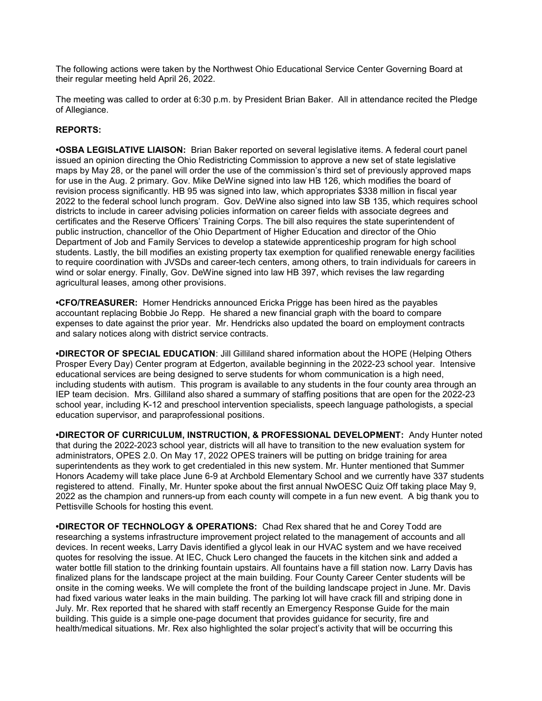The following actions were taken by the Northwest Ohio Educational Service Center Governing Board at their regular meeting held April 26, 2022.

The meeting was called to order at 6:30 p.m. by President Brian Baker. All in attendance recited the Pledge of Allegiance.

## REPORTS:

•OSBA LEGISLATIVE LIAISON: Brian Baker reported on several legislative items. A federal court panel issued an opinion directing the Ohio Redistricting Commission to approve a new set of state legislative maps by May 28, or the panel will order the use of the commission's third set of previously approved maps for use in the Aug. 2 primary. Gov. Mike DeWine signed into law HB 126, which modifies the board of revision process significantly. HB 95 was signed into law, which appropriates \$338 million in fiscal year 2022 to the federal school lunch program. Gov. DeWine also signed into law SB 135, which requires school districts to include in career advising policies information on career fields with associate degrees and certificates and the Reserve Officers' Training Corps. The bill also requires the state superintendent of public instruction, chancellor of the Ohio Department of Higher Education and director of the Ohio Department of Job and Family Services to develop a statewide apprenticeship program for high school students. Lastly, the bill modifies an existing property tax exemption for qualified renewable energy facilities to require coordination with JVSDs and career-tech centers, among others, to train individuals for careers in wind or solar energy. Finally, Gov. DeWine signed into law HB 397, which revises the law regarding agricultural leases, among other provisions.

•CFO/TREASURER: Homer Hendricks announced Ericka Prigge has been hired as the payables accountant replacing Bobbie Jo Repp. He shared a new financial graph with the board to compare expenses to date against the prior year. Mr. Hendricks also updated the board on employment contracts and salary notices along with district service contracts.

•DIRECTOR OF SPECIAL EDUCATION: Jill Gilliland shared information about the HOPE (Helping Others Prosper Every Day) Center program at Edgerton, available beginning in the 2022-23 school year. Intensive educational services are being designed to serve students for whom communication is a high need, including students with autism. This program is available to any students in the four county area through an IEP team decision. Mrs. Gilliland also shared a summary of staffing positions that are open for the 2022-23 school year, including K-12 and preschool intervention specialists, speech language pathologists, a special education supervisor, and paraprofessional positions.

•DIRECTOR OF CURRICULUM, INSTRUCTION, & PROFESSIONAL DEVELOPMENT: Andy Hunter noted that during the 2022-2023 school year, districts will all have to transition to the new evaluation system for administrators, OPES 2.0. On May 17, 2022 OPES trainers will be putting on bridge training for area superintendents as they work to get credentialed in this new system. Mr. Hunter mentioned that Summer Honors Academy will take place June 6-9 at Archbold Elementary School and we currently have 337 students registered to attend. Finally, Mr. Hunter spoke about the first annual NwOESC Quiz Off taking place May 9, 2022 as the champion and runners-up from each county will compete in a fun new event. A big thank you to Pettisville Schools for hosting this event.

•DIRECTOR OF TECHNOLOGY & OPERATIONS: Chad Rex shared that he and Corey Todd are researching a systems infrastructure improvement project related to the management of accounts and all devices. In recent weeks, Larry Davis identified a glycol leak in our HVAC system and we have received quotes for resolving the issue. At IEC, Chuck Lero changed the faucets in the kitchen sink and added a water bottle fill station to the drinking fountain upstairs. All fountains have a fill station now. Larry Davis has finalized plans for the landscape project at the main building. Four County Career Center students will be onsite in the coming weeks. We will complete the front of the building landscape project in June. Mr. Davis had fixed various water leaks in the main building. The parking lot will have crack fill and striping done in July. Mr. Rex reported that he shared with staff recently an Emergency Response Guide for the main building. This guide is a simple one-page document that provides guidance for security, fire and health/medical situations. Mr. Rex also highlighted the solar project's activity that will be occurring this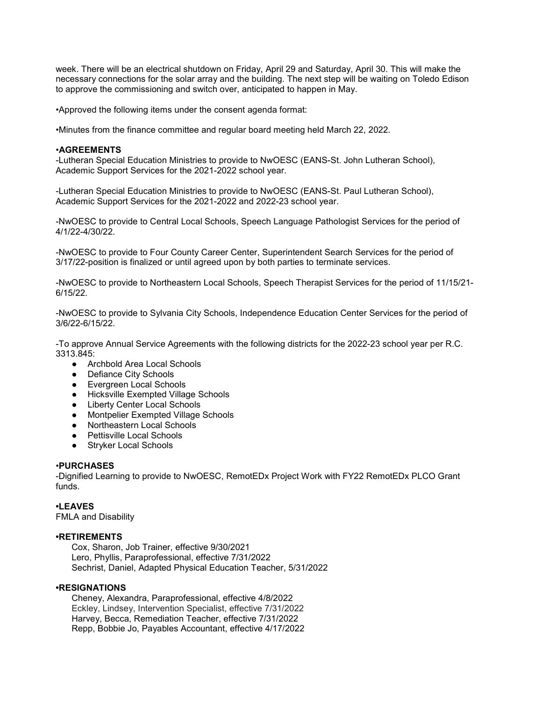week. There will be an electrical shutdown on Friday, April 29 and Saturday, April 30. This will make the necessary connections for the solar array and the building. The next step will be waiting on Toledo Edison to approve the commissioning and switch over, anticipated to happen in May.

•Approved the following items under the consent agenda format:

•Minutes from the finance committee and regular board meeting held March 22, 2022.

## •AGREEMENTS

-Lutheran Special Education Ministries to provide to NwOESC (EANS-St. John Lutheran School), Academic Support Services for the 2021-2022 school year.

-Lutheran Special Education Ministries to provide to NwOESC (EANS-St. Paul Lutheran School), Academic Support Services for the 2021-2022 and 2022-23 school year.

-NwOESC to provide to Central Local Schools, Speech Language Pathologist Services for the period of 4/1/22-4/30/22.

-NwOESC to provide to Four County Career Center, Superintendent Search Services for the period of 3/17/22-position is finalized or until agreed upon by both parties to terminate services.

-NwOESC to provide to Northeastern Local Schools, Speech Therapist Services for the period of 11/15/21- 6/15/22.

-NwOESC to provide to Sylvania City Schools, Independence Education Center Services for the period of 3/6/22-6/15/22.

-To approve Annual Service Agreements with the following districts for the 2022-23 school year per R.C. 3313.845:

- Archbold Area Local Schools
- Defiance City Schools
- Evergreen Local Schools
- Hicksville Exempted Village Schools
- Liberty Center Local Schools
- Montpelier Exempted Village Schools
- Northeastern Local Schools
- Pettisville Local Schools
- Stryker Local Schools

## •PURCHASES

-Dignified Learning to provide to NwOESC, RemotEDx Project Work with FY22 RemotEDx PLCO Grant funds.

## •LEAVES

FMLA and Disability

## •RETIREMENTS

 Cox, Sharon, Job Trainer, effective 9/30/2021 Lero, Phyllis, Paraprofessional, effective 7/31/2022 Sechrist, Daniel, Adapted Physical Education Teacher, 5/31/2022

## •RESIGNATIONS

 Cheney, Alexandra, Paraprofessional, effective 4/8/2022 Eckley, Lindsey, Intervention Specialist, effective 7/31/2022 Harvey, Becca, Remediation Teacher, effective 7/31/2022 Repp, Bobbie Jo, Payables Accountant, effective 4/17/2022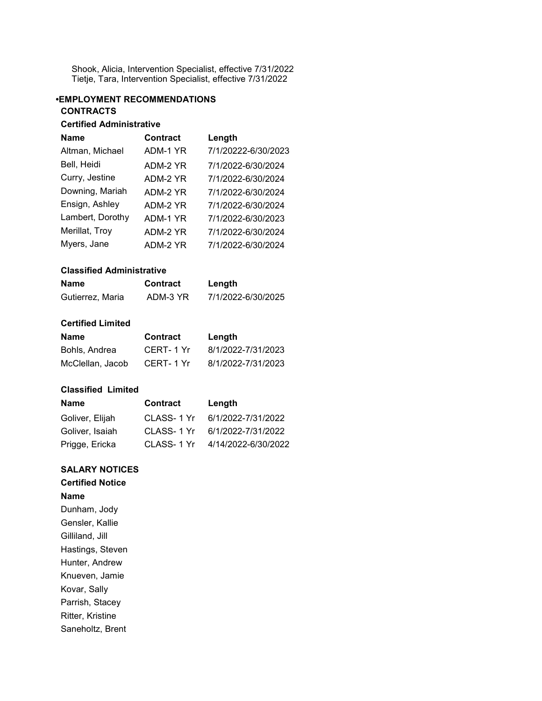Shook, Alicia, Intervention Specialist, effective 7/31/2022 Tietje, Tara, Intervention Specialist, effective 7/31/2022

# •EMPLOYMENT RECOMMENDATIONS **CONTRACTS**

# Certified Administrative

| <b>Name</b>      | <b>Contract</b> | Length              |
|------------------|-----------------|---------------------|
| Altman, Michael  | ADM-1 YR        | 7/1/20222-6/30/2023 |
| Bell, Heidi      | ADM-2 YR        | 7/1/2022-6/30/2024  |
| Curry, Jestine   | ADM-2 YR        | 7/1/2022-6/30/2024  |
| Downing, Mariah  | ADM-2 YR        | 7/1/2022-6/30/2024  |
| Ensign, Ashley   | ADM-2 YR        | 7/1/2022-6/30/2024  |
| Lambert, Dorothy | ADM-1 YR        | 7/1/2022-6/30/2023  |
| Merillat, Troy   | ADM-2 YR        | 7/1/2022-6/30/2024  |
| Myers, Jane      | ADM-2 YR        | 7/1/2022-6/30/2024  |

## Classified Administrative

| Name             | <b>Contract</b> | Length             |
|------------------|-----------------|--------------------|
| Gutierrez, Maria | ADM-3 YR        | 7/1/2022-6/30/2025 |

## Certified Limited

| Name             | <b>Contract</b> | Length             |
|------------------|-----------------|--------------------|
| Bohls, Andrea    | CERT-1 Yr       | 8/1/2022-7/31/2023 |
| McClellan, Jacob | CERT-1 Yr       | 8/1/2022-7/31/2023 |

## Classified Limited

| <b>Name</b>     | <b>Contract</b> | Length              |
|-----------------|-----------------|---------------------|
| Goliver, Elijah | CLASS-1 Yr      | 6/1/2022-7/31/2022  |
| Goliver, Isaiah | CLASS-1 Yr      | 6/1/2022-7/31/2022  |
| Prigge, Ericka  | CLASS-1 Yr      | 4/14/2022-6/30/2022 |

# SALARY NOTICES

# Certified Notice

# Name

Dunham, Jody Gensler, Kallie Gilliland, Jill Hastings, Steven Hunter, Andrew Knueven, Jamie Kovar, Sally Parrish, Stacey Ritter, Kristine Saneholtz, Brent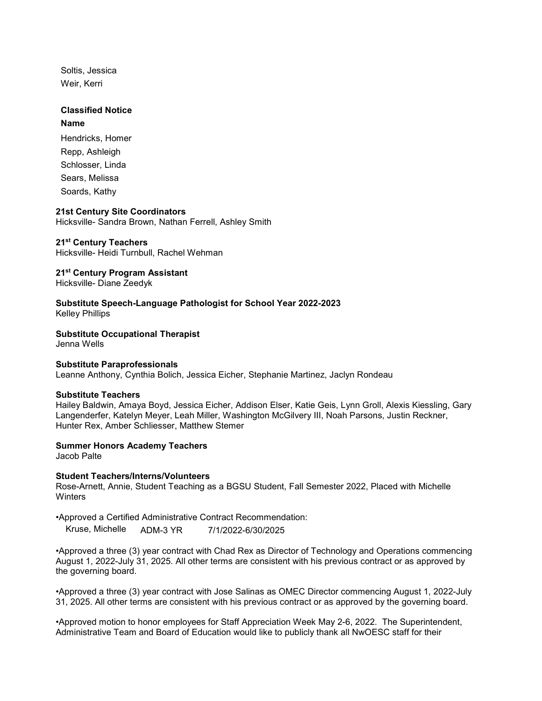Soltis, Jessica Weir, Kerri

# Classified Notice

## Name

Hendricks, Homer Repp, Ashleigh Schlosser, Linda Sears, Melissa Soards, Kathy

## 21st Century Site Coordinators

Hicksville- Sandra Brown, Nathan Ferrell, Ashley Smith

## 21<sup>st</sup> Century Teachers

Hicksville- Heidi Turnbull, Rachel Wehman

## 21<sup>st</sup> Century Program Assistant

Hicksville- Diane Zeedyk

Substitute Speech-Language Pathologist for School Year 2022-2023 Kelley Phillips

Substitute Occupational Therapist

Jenna Wells

#### Substitute Paraprofessionals

Leanne Anthony, Cynthia Bolich, Jessica Eicher, Stephanie Martinez, Jaclyn Rondeau

#### Substitute Teachers

Hailey Baldwin, Amaya Boyd, Jessica Eicher, Addison Elser, Katie Geis, Lynn Groll, Alexis Kiessling, Gary Langenderfer, Katelyn Meyer, Leah Miller, Washington McGilvery III, Noah Parsons, Justin Reckner, Hunter Rex, Amber Schliesser, Matthew Stemer

## Summer Honors Academy Teachers

Jacob Palte

#### Student Teachers/Interns/Volunteers

Rose-Arnett, Annie, Student Teaching as a BGSU Student, Fall Semester 2022, Placed with Michelle **Winters** 

•Approved a Certified Administrative Contract Recommendation:

Kruse, Michelle ADM-3 YR 7/1/2022-6/30/2025

•Approved a three (3) year contract with Chad Rex as Director of Technology and Operations commencing August 1, 2022-July 31, 2025. All other terms are consistent with his previous contract or as approved by the governing board.

•Approved a three (3) year contract with Jose Salinas as OMEC Director commencing August 1, 2022-July 31, 2025. All other terms are consistent with his previous contract or as approved by the governing board.

•Approved motion to honor employees for Staff Appreciation Week May 2-6, 2022. The Superintendent, Administrative Team and Board of Education would like to publicly thank all NwOESC staff for their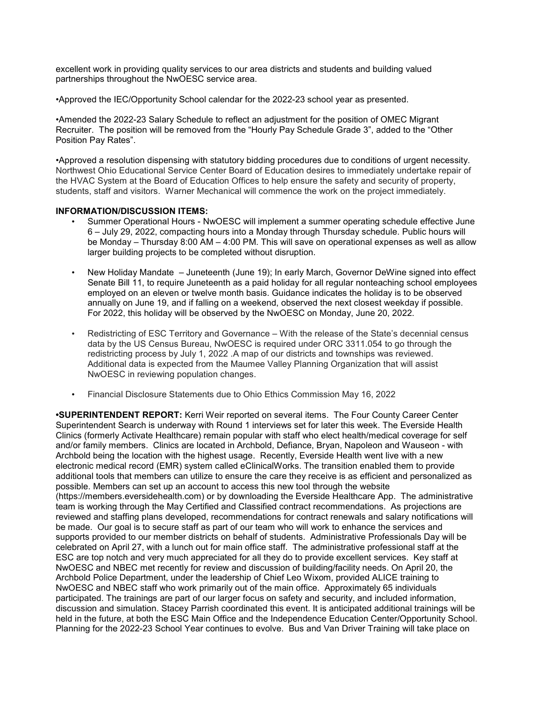excellent work in providing quality services to our area districts and students and building valued partnerships throughout the NwOESC service area.

•Approved the IEC/Opportunity School calendar for the 2022-23 school year as presented.

•Amended the 2022-23 Salary Schedule to reflect an adjustment for the position of OMEC Migrant Recruiter. The position will be removed from the "Hourly Pay Schedule Grade 3", added to the "Other Position Pay Rates".

•Approved a resolution dispensing with statutory bidding procedures due to conditions of urgent necessity. Northwest Ohio Educational Service Center Board of Education desires to immediately undertake repair of the HVAC System at the Board of Education Offices to help ensure the safety and security of property, students, staff and visitors. Warner Mechanical will commence the work on the project immediately.

## INFORMATION/DISCUSSION ITEMS:

- Summer Operational Hours NwOESC will implement a summer operating schedule effective June 6 – July 29, 2022, compacting hours into a Monday through Thursday schedule. Public hours will be Monday – Thursday 8:00 AM – 4:00 PM. This will save on operational expenses as well as allow larger building projects to be completed without disruption.
- New Holiday Mandate Juneteenth (June 19); In early March, Governor DeWine signed into effect Senate Bill 11, to require Juneteenth as a paid holiday for all regular nonteaching school employees employed on an eleven or twelve month basis. Guidance indicates the holiday is to be observed annually on June 19, and if falling on a weekend, observed the next closest weekday if possible. For 2022, this holiday will be observed by the NwOESC on Monday, June 20, 2022.
- Redistricting of ESC Territory and Governance With the release of the State's decennial census data by the US Census Bureau, NwOESC is required under ORC 3311.054 to go through the redistricting process by July 1, 2022 .A map of our districts and townships was reviewed. Additional data is expected from the Maumee Valley Planning Organization that will assist NwOESC in reviewing population changes.
- Financial Disclosure Statements due to Ohio Ethics Commission May 16, 2022

•SUPERINTENDENT REPORT: Kerri Weir reported on several items. The Four County Career Center Superintendent Search is underway with Round 1 interviews set for later this week. The Everside Health Clinics (formerly Activate Healthcare) remain popular with staff who elect health/medical coverage for self and/or family members. Clinics are located in Archbold, Defiance, Bryan, Napoleon and Wauseon - with Archbold being the location with the highest usage. Recently, Everside Health went live with a new electronic medical record (EMR) system called eClinicalWorks. The transition enabled them to provide additional tools that members can utilize to ensure the care they receive is as efficient and personalized as possible. Members can set up an account to access this new tool through the website (https://members.eversidehealth.com) or by downloading the Everside Healthcare App. The administrative team is working through the May Certified and Classified contract recommendations. As projections are reviewed and staffing plans developed, recommendations for contract renewals and salary notifications will be made. Our goal is to secure staff as part of our team who will work to enhance the services and supports provided to our member districts on behalf of students. Administrative Professionals Day will be celebrated on April 27, with a lunch out for main office staff. The administrative professional staff at the ESC are top notch and very much appreciated for all they do to provide excellent services. Key staff at NwOESC and NBEC met recently for review and discussion of building/facility needs. On April 20, the Archbold Police Department, under the leadership of Chief Leo Wixom, provided ALICE training to NwOESC and NBEC staff who work primarily out of the main office. Approximately 65 individuals participated. The trainings are part of our larger focus on safety and security, and included information, discussion and simulation. Stacey Parrish coordinated this event. It is anticipated additional trainings will be held in the future, at both the ESC Main Office and the Independence Education Center/Opportunity School. Planning for the 2022-23 School Year continues to evolve. Bus and Van Driver Training will take place on